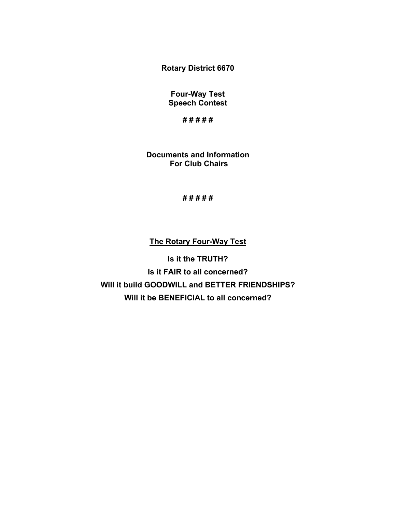**Rotary District 6670**

**Four-Way Test Speech Contest**

**# # # # #**

**Documents and Information For Club Chairs**

**# # # # #**

# **The Rotary Four-Way Test**

**Is it the TRUTH? Is it FAIR to all concerned? Will it build GOODWILL and BETTER FRIENDSHIPS? Will it be BENEFICIAL to all concerned?**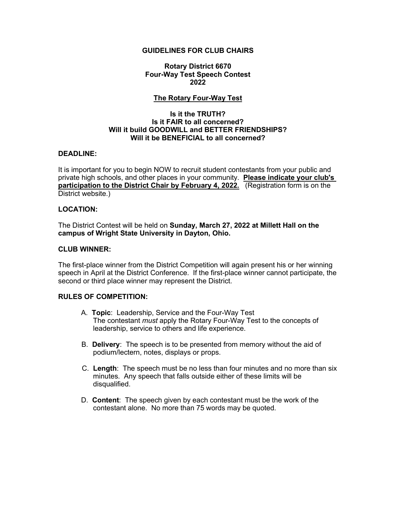### **GUIDELINES FOR CLUB CHAIRS**

**Rotary District 6670 Four-Way Test Speech Contest 2022**

## **The Rotary Four-Way Test**

#### **Is it the TRUTH? Is it FAIR to all concerned? Will it build GOODWILL and BETTER FRIENDSHIPS? Will it be BENEFICIAL to all concerned?**

### **DEADLINE:**

It is important for you to begin NOW to recruit student contestants from your public and private high schools, and other places in your community. **Please indicate your club's participation to the District Chair by February 4, 2022.** (Registration form is on the District website.)

### **LOCATION:**

The District Contest will be held on **Sunday, March 27, 2022 at Millett Hall on the campus of Wright State University in Dayton, Ohio.** 

#### **CLUB WINNER:**

The first-place winner from the District Competition will again present his or her winning speech in April at the District Conference. If the first-place winner cannot participate, the second or third place winner may represent the District.

## **RULES OF COMPETITION:**

- A. **Topic**: Leadership, Service and the Four-Way Test The contestant *must* apply the Rotary Four-Way Test to the concepts of leadership, service to others and life experience.
- B. **Delivery**: The speech is to be presented from memory without the aid of podium/lectern, notes, displays or props.
- C. **Length**: The speech must be no less than four minutes and no more than six minutes. Any speech that falls outside either of these limits will be disqualified.
- D. **Content**: The speech given by each contestant must be the work of the contestant alone. No more than 75 words may be quoted.